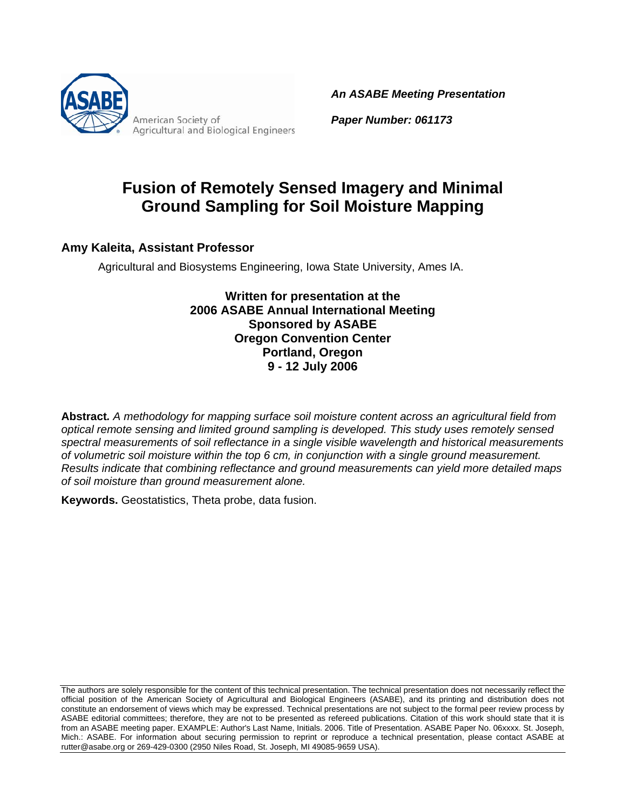

*An ASABE Meeting Presentation*

*Paper Number: 061173*

# **Fusion of Remotely Sensed Imagery and Minimal Ground Sampling for Soil Moisture Mapping**

#### **Amy Kaleita, Assistant Professor**

Agricultural and Biosystems Engineering, Iowa State University, Ames IA.

**Written for presentation at the 2006 ASABE Annual International Meeting Sponsored by ASABE Oregon Convention Center Portland, Oregon 9 - 12 July 2006** 

**Abstract***. A methodology for mapping surface soil moisture content across an agricultural field from optical remote sensing and limited ground sampling is developed. This study uses remotely sensed spectral measurements of soil reflectance in a single visible wavelength and historical measurements of volumetric soil moisture within the top 6 cm, in conjunction with a single ground measurement. Results indicate that combining reflectance and ground measurements can yield more detailed maps of soil moisture than ground measurement alone.* 

**Keywords.** Geostatistics, Theta probe, data fusion.

The authors are solely responsible for the content of this technical presentation. The technical presentation does not necessarily reflect the official position of the American Society of Agricultural and Biological Engineers (ASABE), and its printing and distribution does not constitute an endorsement of views which may be expressed. Technical presentations are not subject to the formal peer review process by ASABE editorial committees; therefore, they are not to be presented as refereed publications. Citation of this work should state that it is from an ASABE meeting paper. EXAMPLE: Author's Last Name, Initials. 2006. Title of Presentation. ASABE Paper No. 06xxxx. St. Joseph, Mich.: ASABE. For information about securing permission to reprint or reproduce a technical presentation, please contact ASABE at rutter@asabe.org or 269-429-0300 (2950 Niles Road, St. Joseph, MI 49085-9659 USA).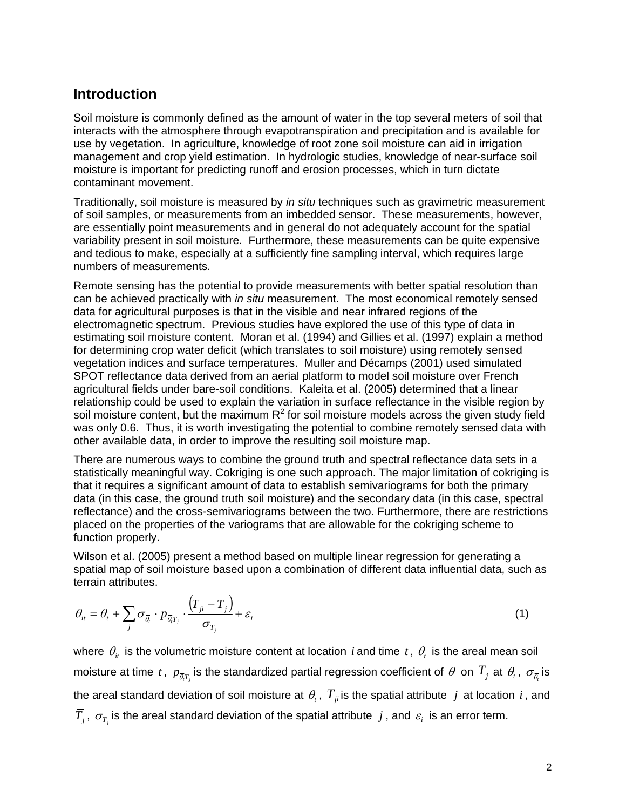### **Introduction**

Soil moisture is commonly defined as the amount of water in the top several meters of soil that interacts with the atmosphere through evapotranspiration and precipitation and is available for use by vegetation. In agriculture, knowledge of root zone soil moisture can aid in irrigation management and crop yield estimation. In hydrologic studies, knowledge of near-surface soil moisture is important for predicting runoff and erosion processes, which in turn dictate contaminant movement.

Traditionally, soil moisture is measured by *in situ* techniques such as gravimetric measurement of soil samples, or measurements from an imbedded sensor. These measurements, however, are essentially point measurements and in general do not adequately account for the spatial variability present in soil moisture. Furthermore, these measurements can be quite expensive and tedious to make, especially at a sufficiently fine sampling interval, which requires large numbers of measurements.

Remote sensing has the potential to provide measurements with better spatial resolution than can be achieved practically with *in situ* measurement. The most economical remotely sensed data for agricultural purposes is that in the visible and near infrared regions of the electromagnetic spectrum. Previous studies have explored the use of this type of data in estimating soil moisture content. Moran et al. (1994) and Gillies et al. (1997) explain a method for determining crop water deficit (which translates to soil moisture) using remotely sensed vegetation indices and surface temperatures. Muller and Décamps (2001) used simulated SPOT reflectance data derived from an aerial platform to model soil moisture over French agricultural fields under bare-soil conditions. Kaleita et al. (2005) determined that a linear relationship could be used to explain the variation in surface reflectance in the visible region by soil moisture content, but the maximum  $R^2$  for soil moisture models across the given study field was only 0.6. Thus, it is worth investigating the potential to combine remotely sensed data with other available data, in order to improve the resulting soil moisture map.

There are numerous ways to combine the ground truth and spectral reflectance data sets in a statistically meaningful way. Cokriging is one such approach. The major limitation of cokriging is that it requires a significant amount of data to establish semivariograms for both the primary data (in this case, the ground truth soil moisture) and the secondary data (in this case, spectral reflectance) and the cross-semivariograms between the two. Furthermore, there are restrictions placed on the properties of the variograms that are allowable for the cokriging scheme to function properly.

Wilson et al. (2005) present a method based on multiple linear regression for generating a spatial map of soil moisture based upon a combination of different data influential data, such as terrain attributes.

$$
\theta_{it} = \overline{\theta}_t + \sum_j \sigma_{\overline{\theta}_i} \cdot p_{\overline{\theta}_i T_j} \cdot \frac{\left(T_{ji} - \overline{T}_j\right)}{\sigma_{T_j}} + \varepsilon_i \tag{1}
$$

where  $\theta_i$  is the volumetric moisture content at location *i* and time *t*,  $\overline{\theta}_t$  is the areal mean soil moisture at time  $t$  ,  $p_{\bar{\theta},T_j}$  is the standardized partial regression coefficient of  $\theta$  on  $T_j$  at  $\bar{\theta}_t$  ,  $\sigma_{\bar{\theta}_t}$  is the areal standard deviation of soil moisture at  $\overline{\theta}_t$ ,  $T_{ji}$  is the spatial attribute  $j$  at location  $i$ , and  $\overline{T}_j$ ,  $\sigma_{T_j}$  is the areal standard deviation of the spatial attribute  $j$ , and  $\varepsilon_i$  is an error term.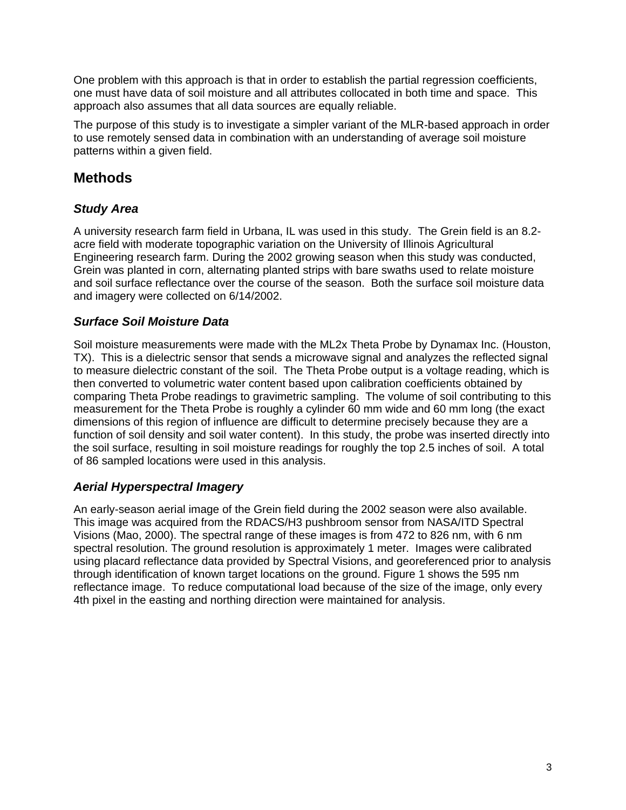One problem with this approach is that in order to establish the partial regression coefficients, one must have data of soil moisture and all attributes collocated in both time and space. This approach also assumes that all data sources are equally reliable.

The purpose of this study is to investigate a simpler variant of the MLR-based approach in order to use remotely sensed data in combination with an understanding of average soil moisture patterns within a given field.

# **Methods**

### *Study Area*

A university research farm field in Urbana, IL was used in this study. The Grein field is an 8.2 acre field with moderate topographic variation on the University of Illinois Agricultural Engineering research farm. During the 2002 growing season when this study was conducted, Grein was planted in corn, alternating planted strips with bare swaths used to relate moisture and soil surface reflectance over the course of the season. Both the surface soil moisture data and imagery were collected on 6/14/2002.

#### *Surface Soil Moisture Data*

Soil moisture measurements were made with the ML2x Theta Probe by Dynamax Inc. (Houston, TX). This is a dielectric sensor that sends a microwave signal and analyzes the reflected signal to measure dielectric constant of the soil. The Theta Probe output is a voltage reading, which is then converted to volumetric water content based upon calibration coefficients obtained by comparing Theta Probe readings to gravimetric sampling. The volume of soil contributing to this measurement for the Theta Probe is roughly a cylinder 60 mm wide and 60 mm long (the exact dimensions of this region of influence are difficult to determine precisely because they are a function of soil density and soil water content). In this study, the probe was inserted directly into the soil surface, resulting in soil moisture readings for roughly the top 2.5 inches of soil. A total of 86 sampled locations were used in this analysis.

#### *Aerial Hyperspectral Imagery*

An early-season aerial image of the Grein field during the 2002 season were also available. This image was acquired from the RDACS/H3 pushbroom sensor from NASA/ITD Spectral Visions (Mao, 2000). The spectral range of these images is from 472 to 826 nm, with 6 nm spectral resolution. The ground resolution is approximately 1 meter. Images were calibrated using placard reflectance data provided by Spectral Visions, and georeferenced prior to analysis through identification of known target locations on the ground. Figure 1 shows the 595 nm reflectance image. To reduce computational load because of the size of the image, only every 4th pixel in the easting and northing direction were maintained for analysis.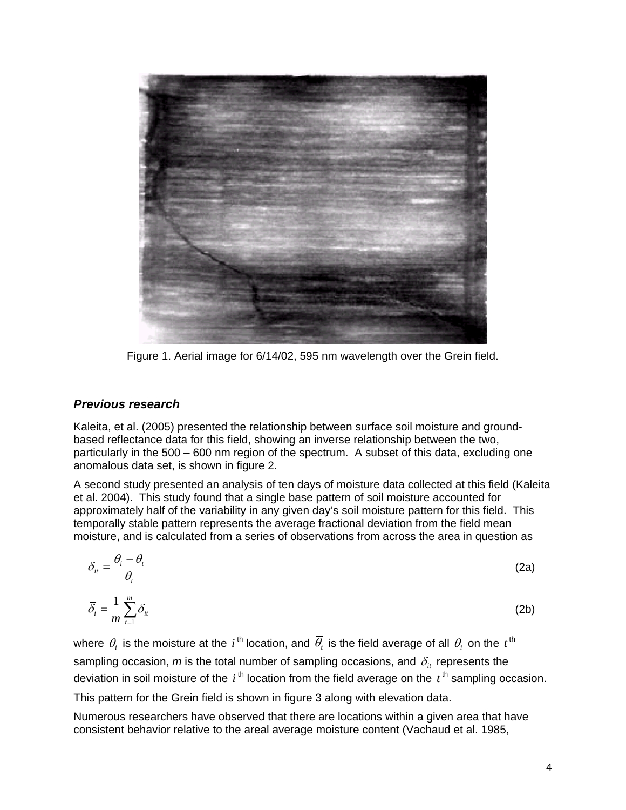

Figure 1. Aerial image for 6/14/02, 595 nm wavelength over the Grein field.

#### *Previous research*

Kaleita, et al. (2005) presented the relationship between surface soil moisture and groundbased reflectance data for this field, showing an inverse relationship between the two, particularly in the 500 – 600 nm region of the spectrum. A subset of this data, excluding one anomalous data set, is shown in figure 2.

A second study presented an analysis of ten days of moisture data collected at this field (Kaleita et al. 2004). This study found that a single base pattern of soil moisture accounted for approximately half of the variability in any given day's soil moisture pattern for this field. This temporally stable pattern represents the average fractional deviation from the field mean moisture, and is calculated from a series of observations from across the area in question as

$$
\delta_{it} = \frac{\theta_i - \overline{\theta}_t}{\overline{\theta}_t}
$$
\n(2a)

$$
\overline{\delta}_i = \frac{1}{m} \sum_{t=1}^m \delta_{it} \tag{2b}
$$

where  $\theta_i$  is the moisture at the *i*<sup>th</sup> location, and  $\bar{\theta}_i$  is the field average of all  $\theta_i$  on the *t*<sup>th</sup> sampling occasion,  $m$  is the total number of sampling occasions, and  $\delta_{it}$  represents the deviation in soil moisture of the  $i<sup>th</sup>$  location from the field average on the  $t<sup>th</sup>$  sampling occasion.

This pattern for the Grein field is shown in figure 3 along with elevation data.

Numerous researchers have observed that there are locations within a given area that have consistent behavior relative to the areal average moisture content (Vachaud et al. 1985,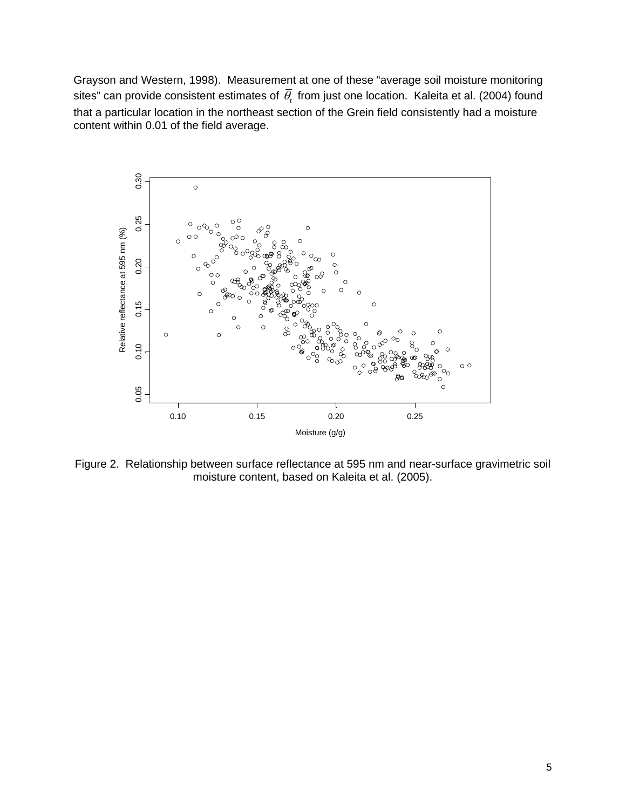Grayson and Western, 1998). Measurement at one of these "average soil moisture monitoring sites" can provide consistent estimates of  $\overline{\theta}$ , from just one location. Kaleita et al. (2004) found that a particular location in the northeast section of the Grein field consistently had a moisture content within 0.01 of the field average.



Figure 2. Relationship between surface reflectance at 595 nm and near-surface gravimetric soil moisture content, based on Kaleita et al. (2005).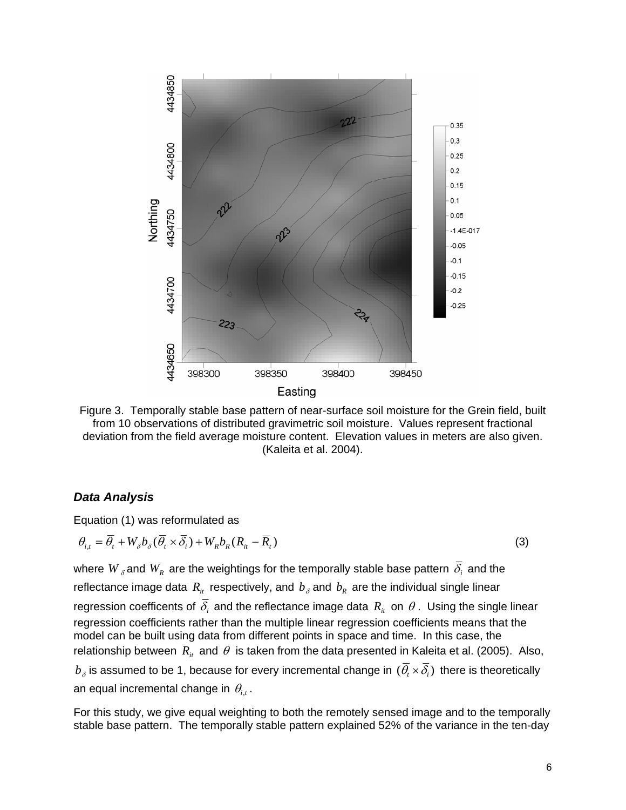

Figure 3. Temporally stable base pattern of near-surface soil moisture for the Grein field, built from 10 observations of distributed gravimetric soil moisture. Values represent fractional deviation from the field average moisture content. Elevation values in meters are also given. (Kaleita et al. 2004).

#### *Data Analysis*

Equation (1) was reformulated as

$$
\theta_{i,t} = \overline{\theta}_t + W_{\delta} b_{\delta} (\overline{\theta}_t \times \overline{\delta}_t) + W_R b_R (R_{it} - \overline{R}_t)
$$
\n(3)

where  $W_{\delta}$  and  $W_{R}$  are the weightings for the temporally stable base pattern  $\overline{\delta_{i}}$  and the reflectance image data  $R_i$  respectively, and  $b_\delta$  and  $b_R$  are the individual single linear regression coefficents of  $\overline{\delta_i}$  and the reflectance image data  $R_i$  on  $\theta$ . Using the single linear regression coefficients rather than the multiple linear regression coefficients means that the model can be built using data from different points in space and time. In this case, the relationship between  $R_{it}$  and  $\theta$  is taken from the data presented in Kaleita et al. (2005). Also,  $b_{\delta}$  is assumed to be 1, because for every incremental change in  $(\bar{\theta}_{i} \times \bar{\delta}_{i})$  there is theoretically an equal incremental change in  $\theta_{i,t}$ .

For this study, we give equal weighting to both the remotely sensed image and to the temporally stable base pattern. The temporally stable pattern explained 52% of the variance in the ten-day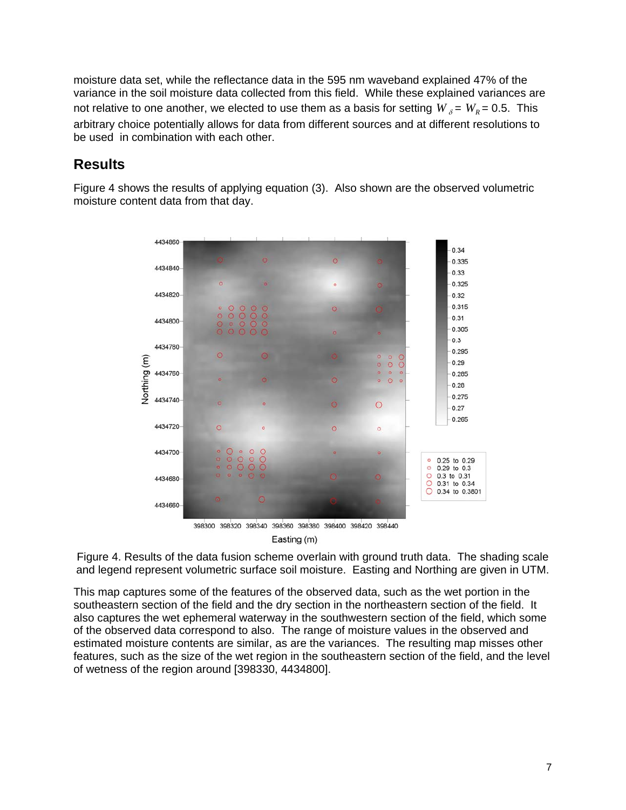moisture data set, while the reflectance data in the 595 nm waveband explained 47% of the variance in the soil moisture data collected from this field. While these explained variances are not relative to one another, we elected to use them as a basis for setting  $W_{\gamma} = W_{\gamma} = 0.5$ . This arbitrary choice potentially allows for data from different sources and at different resolutions to be used in combination with each other.

# **Results**

Figure 4 shows the results of applying equation (3). Also shown are the observed volumetric moisture content data from that day.



Figure 4. Results of the data fusion scheme overlain with ground truth data. The shading scale and legend represent volumetric surface soil moisture. Easting and Northing are given in UTM.

This map captures some of the features of the observed data, such as the wet portion in the southeastern section of the field and the dry section in the northeastern section of the field. It also captures the wet ephemeral waterway in the southwestern section of the field, which some of the observed data correspond to also. The range of moisture values in the observed and estimated moisture contents are similar, as are the variances. The resulting map misses other features, such as the size of the wet region in the southeastern section of the field, and the level of wetness of the region around [398330, 4434800].